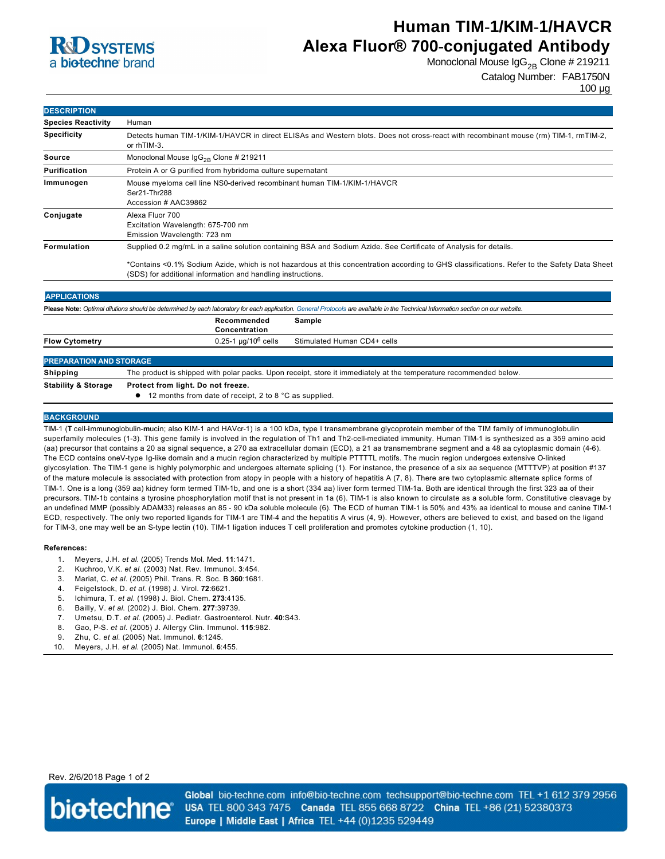

# **Human TIM-1/KIM-1/HAVCR Alexa Fluor® 700-conjugated Antibody**

Monoclonal Mouse  $\log_{2B}$  Clone # 219211

```
Catalog Number: FAB1750N
```
100 µg

| <b>DESCRIPTION</b>        |                                                                                                                                                                                                                                                                                                                                 |
|---------------------------|---------------------------------------------------------------------------------------------------------------------------------------------------------------------------------------------------------------------------------------------------------------------------------------------------------------------------------|
| <b>Species Reactivity</b> | Human                                                                                                                                                                                                                                                                                                                           |
| <b>Specificity</b>        | Detects human TIM-1/KIM-1/HAVCR in direct ELISAs and Western blots. Does not cross-react with recombinant mouse (rm) TIM-1, rmTIM-2,<br>or rhTIM-3.                                                                                                                                                                             |
| Source                    | Monoclonal Mouse $\lg G_{2R}$ Clone # 219211                                                                                                                                                                                                                                                                                    |
| Purification              | Protein A or G purified from hybridoma culture supernatant                                                                                                                                                                                                                                                                      |
| Immunogen                 | Mouse myeloma cell line NS0-derived recombinant human TIM-1/KIM-1/HAVCR<br>Ser21-Thr288<br>Accession # AAC39862                                                                                                                                                                                                                 |
| Conjugate                 | Alexa Fluor 700<br>Excitation Wavelength: 675-700 nm<br>Emission Wavelength: 723 nm                                                                                                                                                                                                                                             |
| Formulation               | Supplied 0.2 mg/mL in a saline solution containing BSA and Sodium Azide. See Certificate of Analysis for details.<br>*Contains <0.1% Sodium Azide, which is not hazardous at this concentration according to GHS classifications. Refer to the Safety Data Sheet<br>(SDS) for additional information and handling instructions. |
| <b>APPLICATIONS</b>       | Please Note: Optimal dilutions should be determined by each laboratory for each application. General Protocols are available in the Technical Information section on our website.                                                                                                                                               |
|                           | Recommended<br>Sample                                                                                                                                                                                                                                                                                                           |

|                                | Concentration                                                                                                     |
|--------------------------------|-------------------------------------------------------------------------------------------------------------------|
| <b>Flow Cytometry</b>          | $0.25$ -1 µg/10 $^6$ cells<br>Stimulated Human CD4+ cells                                                         |
| <b>PREPARATION AND STORAGE</b> |                                                                                                                   |
| Shipping                       | The product is shipped with polar packs. Upon receipt, store it immediately at the temperature recommended below. |
| <b>Stability &amp; Storage</b> | Protect from light. Do not freeze.<br>12 months from date of receipt, 2 to 8 °C as supplied.                      |

### **BACKGROUND**

TIM1 (**T** cell**i**mmunoglobulin**m**ucin; also KIM1 and HAVcr1) is a 100 kDa, type I transmembrane glycoprotein member of the TIM family of immunoglobulin superfamily molecules (1-3). This gene family is involved in the regulation of Th1 and Th2-cell-mediated immunity. Human TIM-1 is synthesized as a 359 amino acid (aa) precursor that contains a 20 aa signal sequence, a 270 aa extracellular domain (ECD), a 21 aa transmembrane segment and a 48 aa cytoplasmic domain (46). The ECD contains oneV-type Ig-like domain and a mucin region characterized by multiple PTTTTL motifs. The mucin region undergoes extensive O-linked glycosylation. The TIM1 gene is highly polymorphic and undergoes alternate splicing (1). For instance, the presence of a six aa sequence (MTTTVP) at position #137 of the mature molecule is associated with protection from atopy in people with a history of hepatitis A (7, 8). There are two cytoplasmic alternate splice forms of TIM-1. One is a long (359 aa) kidney form termed TIM-1b, and one is a short (334 aa) liver form termed TIM-1a. Both are identical through the first 323 aa of their precursors. TIM-1b contains a tyrosine phosphorylation motif that is not present in 1a (6). TIM-1 is also known to circulate as a soluble form. Constitutive cleavage by an undefined MMP (possibly ADAM33) releases an 85 - 90 kDa soluble molecule (6). The ECD of human TIM-1 is 50% and 43% aa identical to mouse and canine TIM-1 ECD, respectively. The only two reported ligands for TIM-1 are TIM-4 and the hepatitis A virus (4, 9). However, others are believed to exist, and based on the ligand for TIM-3, one may well be an S-type lectin (10). TIM-1 ligation induces T cell proliferation and promotes cytokine production (1, 10).

#### **References:**

- 1. Meyers, J.H. *et al*. (2005) Trends Mol. Med. **11**:1471.
- 2. Kuchroo, V.K. *et al*. (2003) Nat. Rev. Immunol. **3**:454.
- 3. Mariat, C. *et al*. (2005) Phil. Trans. R. Soc. B **360**:1681.
- 4. Feigelstock, D. *et al*. (1998) J. Virol. **72**:6621.
- 5. Ichimura, T. *et al*. (1998) J. Biol. Chem. **273**:4135.
- 6. Bailly, V. *et al*. (2002) J. Biol. Chem. **277**:39739.
- 7. Umetsu, D.T. *et al*. (2005) J. Pediatr. Gastroenterol. Nutr. **40**:S43.
- 8. Gao, PS. *et al*. (2005) J. Allergy Clin. Immunol. **115**:982.
- 9. Zhu, C. *et al*. (2005) Nat. Immunol. **6**:1245.
- 10. Meyers, J.H. *et al*. (2005) Nat. Immunol. **6**:455.

## Rev. 2/6/2018 Page 1 of 2



Global bio-techne.com info@bio-techne.com techsupport@bio-techne.com TEL +1 612 379 2956 USA TEL 800 343 7475 Canada TEL 855 668 8722 China TEL +86 (21) 52380373 Europe | Middle East | Africa TEL +44 (0)1235 529449